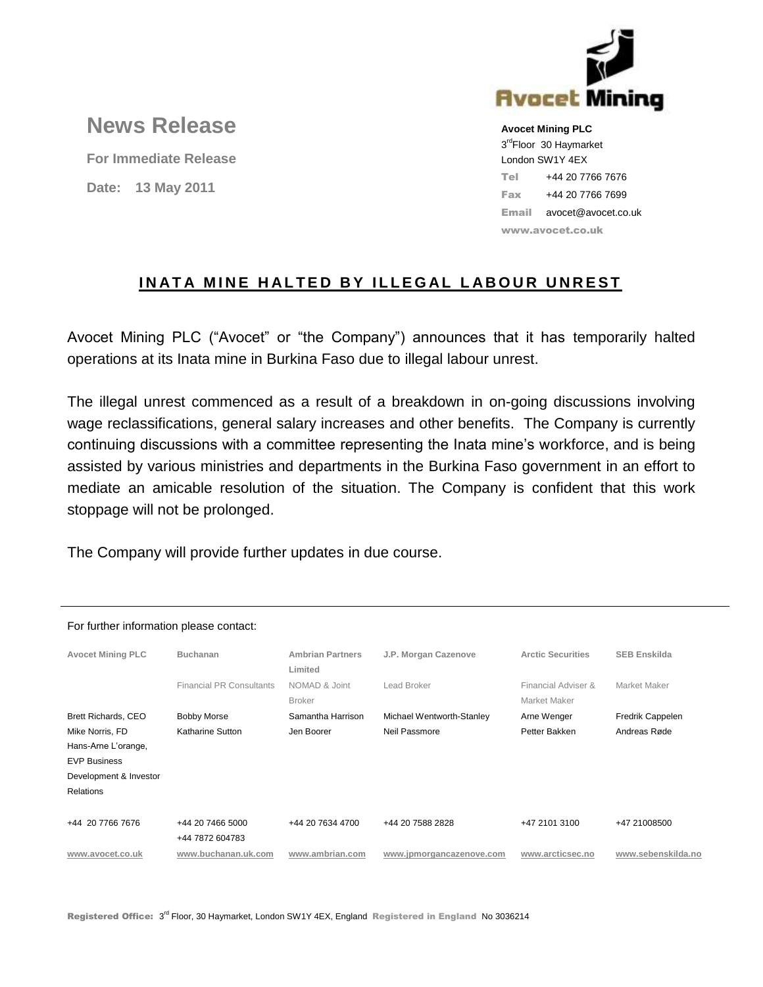

# **News Release**

**For Immediate Release Date: 13 May 2011**

**Avocet Mining PLC** 3<sup>rd</sup>Floor 30 Haymarket London SW1Y 4EX Tel +44 20 7766 7676 Fax +44 20 7766 7699 Email avocet@avocet.co.uk www.avocet.co.uk

## **INATA MINE HALTED BY ILLEGAL LABOUR UNREST**

Avocet Mining PLC ("Avocet" or "the Company") announces that it has temporarily halted operations at its Inata mine in Burkina Faso due to illegal labour unrest.

The illegal unrest commenced as a result of a breakdown in on-going discussions involving wage reclassifications, general salary increases and other benefits. The Company is currently continuing discussions with a committee representing the Inata mine's workforce, and is being assisted by various ministries and departments in the Burkina Faso government in an effort to mediate an amicable resolution of the situation. The Company is confident that this work stoppage will not be prolonged.

The Company will provide further updates in due course.

| <b>Avocet Mining PLC</b> | <b>Buchanan</b>                 | <b>Ambrian Partners</b><br>Limited | J.P. Morgan Cazenove      | <b>Arctic Securities</b>            | <b>SEB Enskilda</b>     |
|--------------------------|---------------------------------|------------------------------------|---------------------------|-------------------------------------|-------------------------|
|                          | <b>Financial PR Consultants</b> | NOMAD & Joint<br><b>Broker</b>     | Lead Broker               | Financial Adviser &<br>Market Maker | Market Maker            |
| Brett Richards, CEO      | <b>Bobby Morse</b>              | Samantha Harrison                  | Michael Wentworth-Stanley | Arne Wenger                         | <b>Fredrik Cappelen</b> |
| Mike Norris, FD          | Katharine Sutton                | Jen Boorer                         | Neil Passmore             | Petter Bakken                       | Andreas Røde            |
| Hans-Arne L'orange,      |                                 |                                    |                           |                                     |                         |
| <b>EVP Business</b>      |                                 |                                    |                           |                                     |                         |
| Development & Investor   |                                 |                                    |                           |                                     |                         |
| <b>Relations</b>         |                                 |                                    |                           |                                     |                         |
|                          |                                 |                                    |                           |                                     |                         |
| +44 20 7766 7676         | +44 20 7466 5000                | +44 20 7634 4700                   | +44 20 7588 2828          | +47 2101 3100                       | +47 21008500            |
|                          | +44 7872 604783                 |                                    |                           |                                     |                         |
| www.avocet.co.uk         | www.buchanan.uk.com             | www.ambrian.com                    | www.jpmorgancazenove.com  | www.arcticsec.no                    | www.sebenskilda.no      |

#### For further information please contact: